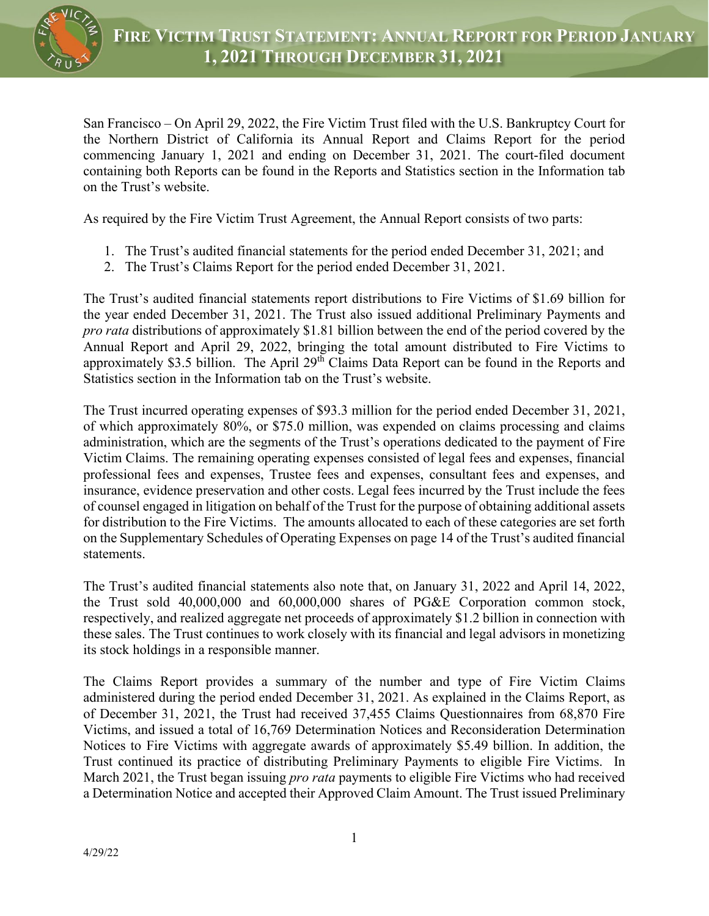

San Francisco – On April 29, 2022, the Fire Victim Trust filed with the U.S. Bankruptcy Court for the Northern District of California its Annual Report and Claims Report for the period commencing January 1, 2021 and ending on December 31, 2021. The court-filed document containing both Reports can be found in the Reports and Statistics section in the Information tab on the Trust's website.

As required by the Fire Victim Trust Agreement, the Annual Report consists of two parts:

- 1. The Trust's audited financial statements for the period ended December 31, 2021; and
- 2. The Trust's Claims Report for the period ended December 31, 2021.

The Trust's audited financial statements report distributions to Fire Victims of \$1.69 billion for the year ended December 31, 2021. The Trust also issued additional Preliminary Payments and *pro rata* distributions of approximately \$1.81 billion between the end of the period covered by the Annual Report and April 29, 2022, bringing the total amount distributed to Fire Victims to approximately \$3.5 billion. The April 29<sup>th</sup> Claims Data Report can be found in the Reports and Statistics section in the Information tab on the Trust's website.

The Trust incurred operating expenses of \$93.3 million for the period ended December 31, 2021, of which approximately 80%, or \$75.0 million, was expended on claims processing and claims administration, which are the segments of the Trust's operations dedicated to the payment of Fire Victim Claims. The remaining operating expenses consisted of legal fees and expenses, financial professional fees and expenses, Trustee fees and expenses, consultant fees and expenses, and insurance, evidence preservation and other costs. Legal fees incurred by the Trust include the fees of counsel engaged in litigation on behalf of the Trust for the purpose of obtaining additional assets for distribution to the Fire Victims. The amounts allocated to each of these categories are set forth on the Supplementary Schedules of Operating Expenses on page 14 of the Trust's audited financial statements.

The Trust's audited financial statements also note that, on January 31, 2022 and April 14, 2022, the Trust sold 40,000,000 and 60,000,000 shares of PG&E Corporation common stock, respectively, and realized aggregate net proceeds of approximately \$1.2 billion in connection with these sales. The Trust continues to work closely with its financial and legal advisors in monetizing its stock holdings in a responsible manner.

The Claims Report provides a summary of the number and type of Fire Victim Claims administered during the period ended December 31, 2021. As explained in the Claims Report, as of December 31, 2021, the Trust had received 37,455 Claims Questionnaires from 68,870 Fire Victims, and issued a total of 16,769 Determination Notices and Reconsideration Determination Notices to Fire Victims with aggregate awards of approximately \$5.49 billion. In addition, the Trust continued its practice of distributing Preliminary Payments to eligible Fire Victims. In March 2021, the Trust began issuing *pro rata* payments to eligible Fire Victims who had received a Determination Notice and accepted their Approved Claim Amount. The Trust issued Preliminary